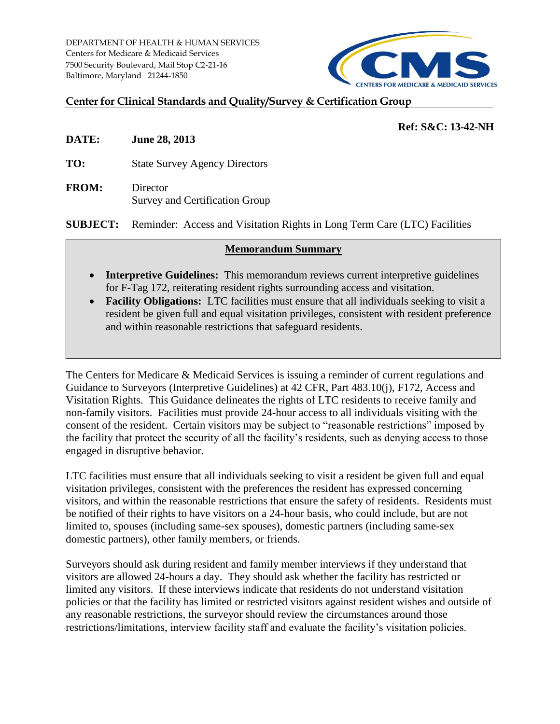

## **Center for Clinical Standards and Quality/Survey & Certification Group**

## **Ref: S&C: 13-42-NH**

**DATE: June 28, 2013**

**TO:** State Survey Agency Directors

**FROM:** Director Survey and Certification Group

**SUBJECT:** Reminder: Access and Visitation Rights in Long Term Care (LTC) Facilities

## **Memorandum Summary**

- **Interpretive Guidelines:** This memorandum reviews current interpretive guidelines for F-Tag 172, reiterating resident rights surrounding access and visitation.
- **Facility Obligations:** LTC facilities must ensure that all individuals seeking to visit a resident be given full and equal visitation privileges, consistent with resident preference and within reasonable restrictions that safeguard residents.

The Centers for Medicare & Medicaid Services is issuing a reminder of current regulations and Guidance to Surveyors (Interpretive Guidelines) at 42 CFR, Part 483.10(j), F172, Access and Visitation Rights. This Guidance delineates the rights of LTC residents to receive family and non-family visitors. Facilities must provide 24-hour access to all individuals visiting with the consent of the resident. Certain visitors may be subject to "reasonable restrictions" imposed by the facility that protect the security of all the facility's residents, such as denying access to those engaged in disruptive behavior.

LTC facilities must ensure that all individuals seeking to visit a resident be given full and equal visitation privileges, consistent with the preferences the resident has expressed concerning visitors, and within the reasonable restrictions that ensure the safety of residents. Residents must be notified of their rights to have visitors on a 24-hour basis, who could include, but are not limited to, spouses (including same-sex spouses), domestic partners (including same-sex domestic partners), other family members, or friends.

Surveyors should ask during resident and family member interviews if they understand that visitors are allowed 24-hours a day. They should ask whether the facility has restricted or limited any visitors. If these interviews indicate that residents do not understand visitation policies or that the facility has limited or restricted visitors against resident wishes and outside of any reasonable restrictions, the surveyor should review the circumstances around those restrictions/limitations, interview facility staff and evaluate the facility's visitation policies.